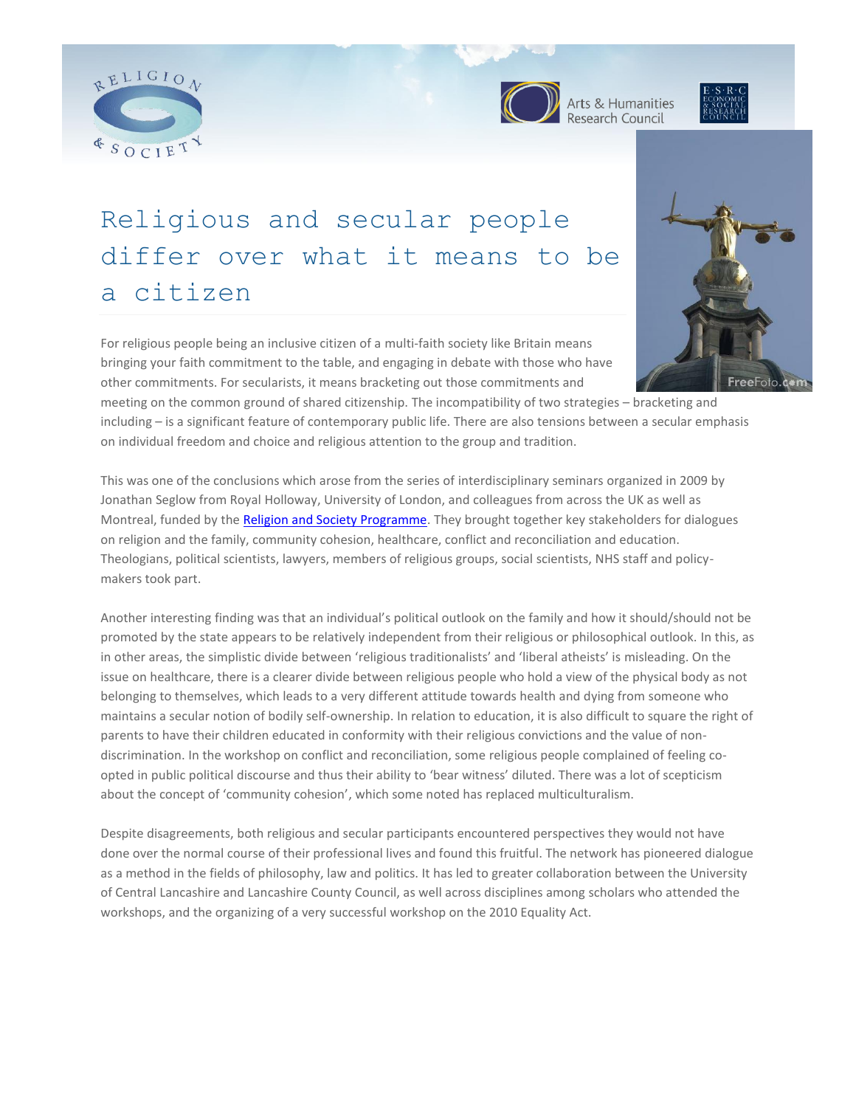





# Religious and secular people differ over what it means to be a citizen

For religious people being an inclusive citizen of a multi-faith society like Britain means bringing your faith commitment to the table, and engaging in debate with those who have other commitments. For secularists, it means bracketing out those commitments and



meeting on the common ground of shared citizenship. The incompatibility of two strategies – bracketing and including – is a significant feature of contemporary public life. There are also tensions between a secular emphasis on individual freedom and choice and religious attention to the group and tradition.

This was one of the conclusions which arose from the series of interdisciplinary seminars organized in 2009 by Jonathan Seglow from Royal Holloway, University of London, and colleagues from across the UK as well as Montreal, funded by the **Religion and Society Programme**. They brought together key stakeholders for dialogues on religion and the family, community cohesion, healthcare, conflict and reconciliation and education. Theologians, political scientists, lawyers, members of religious groups, social scientists, NHS staff and policymakers took part.

Another interesting finding was that an individual's political outlook on the family and how it should/should not be promoted by the state appears to be relatively independent from their religious or philosophical outlook. In this, as in other areas, the simplistic divide between 'religious traditionalists' and 'liberal atheists' is misleading. On the issue on healthcare, there is a clearer divide between religious people who hold a view of the physical body as not belonging to themselves, which leads to a very different attitude towards health and dying from someone who maintains a secular notion of bodily self-ownership. In relation to education, it is also difficult to square the right of parents to have their children educated in conformity with their religious convictions and the value of nondiscrimination. In the workshop on conflict and reconciliation, some religious people complained of feeling coopted in public political discourse and thus their ability to 'bear witness' diluted. There was a lot of scepticism about the concept of 'community cohesion', which some noted has replaced multiculturalism.

Despite disagreements, both religious and secular participants encountered perspectives they would not have done over the normal course of their professional lives and found this fruitful. The network has pioneered dialogue as a method in the fields of philosophy, law and politics. It has led to greater collaboration between the University of Central Lancashire and Lancashire County Council, as well across disciplines among scholars who attended the workshops, and the organizing of a very successful workshop on the 2010 Equality Act.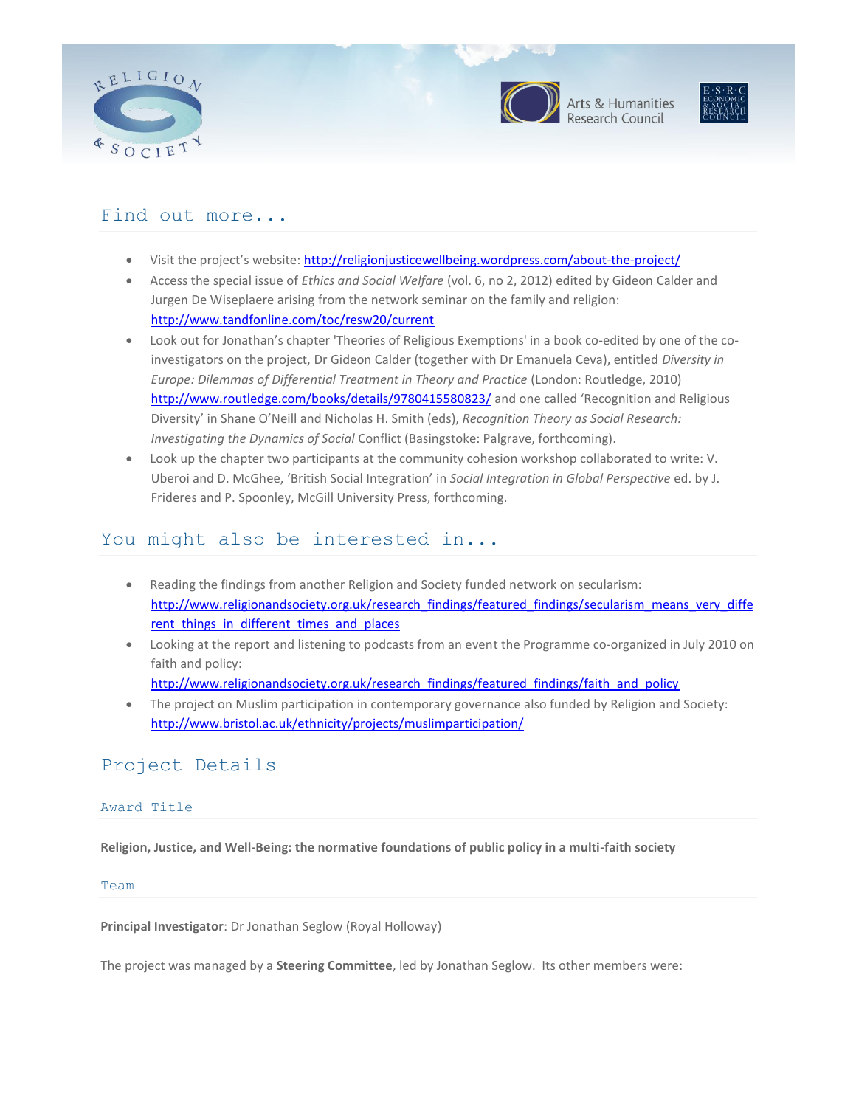





## Find out more...

- Visit the project's website[: http://religionjusticewellbeing.wordpress.com/about-the-project/](http://religionjusticewellbeing.wordpress.com/about-the-project/)
- Access the special issue of *Ethics and Social Welfare* (vol. 6, no 2, 2012) edited by Gideon Calder and Jurgen De Wiseplaere arising from the network seminar on the family and religion: <http://www.tandfonline.com/toc/resw20/current>
- Look out for Jonathan's chapter 'Theories of Religious Exemptions' in a book co-edited by one of the coinvestigators on the project, Dr Gideon Calder (together with Dr Emanuela Ceva), entitled *Diversity in Europe: Dilemmas of Differential Treatment in Theory and Practice* (London: Routledge, 2010) <http://www.routledge.com/books/details/9780415580823/> and one called 'Recognition and Religious Diversity' in Shane O'Neill and Nicholas H. Smith (eds), *Recognition Theory as Social Research: Investigating the Dynamics of Social* Conflict (Basingstoke: Palgrave, forthcoming).
- Look up the chapter two participants at the community cohesion workshop collaborated to write: V. Uberoi and D. McGhee, 'British Social Integration' in *Social Integration in Global Perspective* ed. by J. Frideres and P. Spoonley, McGill University Press, forthcoming.

# You might also be interested in...

- Reading the findings from another Religion and Society funded network on secularism: [http://www.religionandsociety.org.uk/research\\_findings/featured\\_findings/secularism\\_means\\_very\\_diffe](http://www.religionandsociety.org.uk/research_findings/featured_findings/secularism_means_very_different_things_in_different_times_and_places) [rent\\_things\\_in\\_different\\_times\\_and\\_places](http://www.religionandsociety.org.uk/research_findings/featured_findings/secularism_means_very_different_things_in_different_times_and_places)
- Looking at the report and listening to podcasts from an event the Programme co-organized in July 2010 on faith and policy: [http://www.religionandsociety.org.uk/research\\_findings/featured\\_findings/faith\\_and\\_policy](http://www.religionandsociety.org.uk/research_findings/featured_findings/faith_and_policy)
- The project on Muslim participation in contemporary governance also funded by Religion and Society: <http://www.bristol.ac.uk/ethnicity/projects/muslimparticipation/>

# Project Details

## Award Title

**Religion, Justice, and Well-Being: the normative foundations of public policy in a multi-faith society**

## Team

**Principal Investigator**: Dr Jonathan Seglow (Royal Holloway)

The project was managed by a **Steering Committee**, led by Jonathan Seglow. Its other members were: